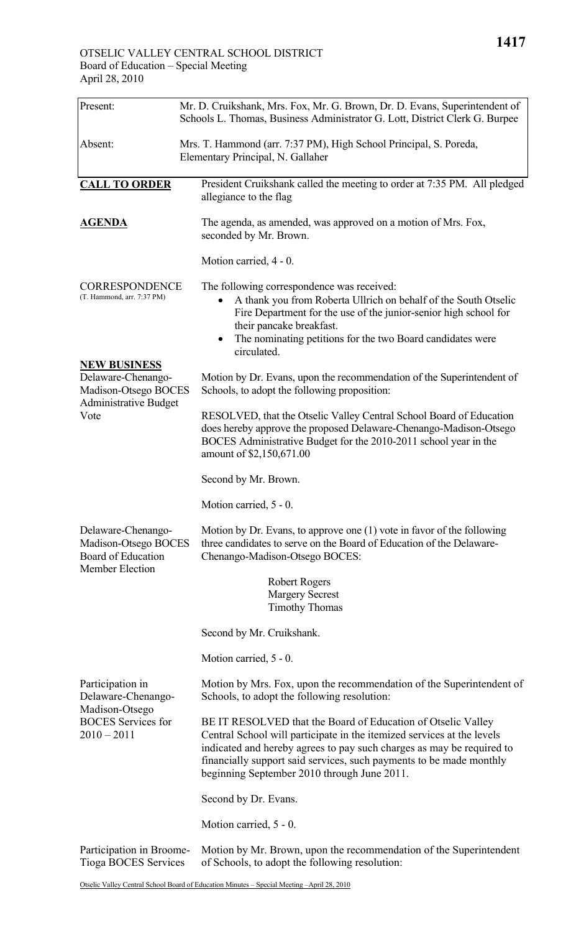| Present:                                                                                               | Mr. D. Cruikshank, Mrs. Fox, Mr. G. Brown, Dr. D. Evans, Superintendent of<br>Schools L. Thomas, Business Administrator G. Lott, District Clerk G. Burpee                                                                                                                                                                             |
|--------------------------------------------------------------------------------------------------------|---------------------------------------------------------------------------------------------------------------------------------------------------------------------------------------------------------------------------------------------------------------------------------------------------------------------------------------|
| Absent:                                                                                                | Mrs. T. Hammond (arr. 7:37 PM), High School Principal, S. Poreda,<br>Elementary Principal, N. Gallaher                                                                                                                                                                                                                                |
| <b>CALL TO ORDER</b>                                                                                   | President Cruikshank called the meeting to order at 7:35 PM. All pledged<br>allegiance to the flag                                                                                                                                                                                                                                    |
| <b>AGENDA</b>                                                                                          | The agenda, as amended, was approved on a motion of Mrs. Fox,<br>seconded by Mr. Brown.                                                                                                                                                                                                                                               |
|                                                                                                        | Motion carried, 4 - 0.                                                                                                                                                                                                                                                                                                                |
| CORRESPONDENCE<br>(T. Hammond, arr. 7:37 PM)                                                           | The following correspondence was received:<br>A thank you from Roberta Ullrich on behalf of the South Otselic<br>$\bullet$<br>Fire Department for the use of the junior-senior high school for<br>their pancake breakfast.<br>The nominating petitions for the two Board candidates were<br>$\bullet$<br>circulated.                  |
| <b>NEW BUSINESS</b><br>Delaware-Chenango-<br>Madison-Otsego BOCES<br>Administrative Budget<br>Vote     | Motion by Dr. Evans, upon the recommendation of the Superintendent of<br>Schools, to adopt the following proposition:                                                                                                                                                                                                                 |
|                                                                                                        | RESOLVED, that the Otselic Valley Central School Board of Education<br>does hereby approve the proposed Delaware-Chenango-Madison-Otsego<br>BOCES Administrative Budget for the 2010-2011 school year in the<br>amount of \$2,150,671.00                                                                                              |
|                                                                                                        | Second by Mr. Brown.                                                                                                                                                                                                                                                                                                                  |
|                                                                                                        | Motion carried, 5 - 0.                                                                                                                                                                                                                                                                                                                |
| Delaware-Chenango-<br>Madison-Otsego BOCES<br>Board of Education<br><b>Member Election</b>             | Motion by Dr. Evans, to approve one $(1)$ vote in favor of the following<br>three candidates to serve on the Board of Education of the Delaware-<br>Chenango-Madison-Otsego BOCES:                                                                                                                                                    |
|                                                                                                        | Robert Rogers                                                                                                                                                                                                                                                                                                                         |
|                                                                                                        | <b>Margery Secrest</b><br><b>Timothy Thomas</b>                                                                                                                                                                                                                                                                                       |
|                                                                                                        | Second by Mr. Cruikshank.                                                                                                                                                                                                                                                                                                             |
|                                                                                                        | Motion carried, 5 - 0.                                                                                                                                                                                                                                                                                                                |
| Participation in<br>Delaware-Chenango-<br>Madison-Otsego<br><b>BOCES</b> Services for<br>$2010 - 2011$ | Motion by Mrs. Fox, upon the recommendation of the Superintendent of<br>Schools, to adopt the following resolution:                                                                                                                                                                                                                   |
|                                                                                                        | BE IT RESOLVED that the Board of Education of Otselic Valley<br>Central School will participate in the itemized services at the levels<br>indicated and hereby agrees to pay such charges as may be required to<br>financially support said services, such payments to be made monthly<br>beginning September 2010 through June 2011. |
|                                                                                                        | Second by Dr. Evans.                                                                                                                                                                                                                                                                                                                  |
|                                                                                                        | Motion carried, 5 - 0.                                                                                                                                                                                                                                                                                                                |
| Participation in Broome-<br>Tioga BOCES Services                                                       | Motion by Mr. Brown, upon the recommendation of the Superintendent<br>of Schools, to adopt the following resolution:                                                                                                                                                                                                                  |